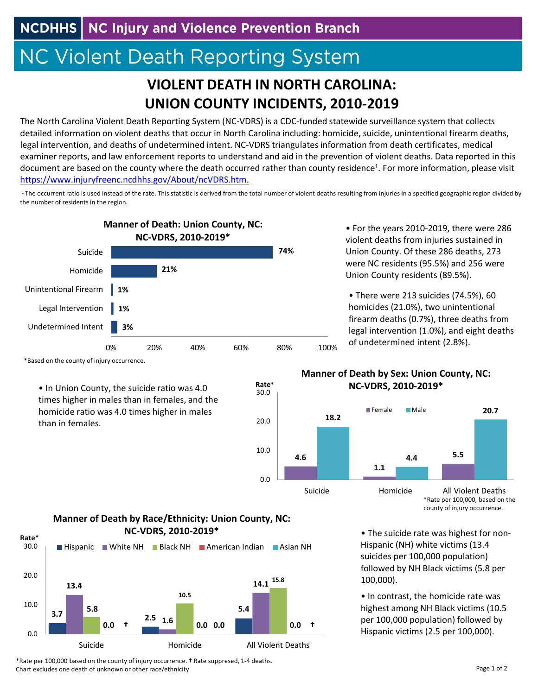## **NC Violent Death Reporting System**

## **VIOLENT DEATH IN NORTH CAROLINA: UNION COUNTY INCIDENTS, 2010‐2019**

The North Carolina Violent Death Reporting System (NC‐VDRS) is a CDC‐funded statewide surveillance system that collects detailed information on violent deaths that occur in North Carolina including: homicide, suicide, unintentional firearm deaths, legal intervention, and deaths of undetermined intent. NC‐VDRS triangulates information from death certificates, medical examiner reports, and law enforcement reports to understand and aid in the prevention of violent deaths. Data reported in this document are based on the county where the death occurred rather than county residence<sup>1</sup>. For more information, please visit https://www.injuryfreenc.ncdhhs.gov/About/ncVDRS.htm.

<sup>1</sup> The occurrent ratio is used instead of the rate. This statistic is derived from the total number of violent deaths resulting from injuries in a specified geographic region divided by the number of residents in the region.

0.0

10.0

20.0

30.0

**Rate\***



• For the years 2010‐2019, there were 286 violent deaths from injuries sustained in Union County. Of these 286 deaths, 273 were NC residents (95.5%) and 256 were Union County residents (89.5%).

• There were 213 suicides (74.5%), 60 homicides (21.0%), two unintentional firearm deaths (0.7%), three deaths from legal intervention (1.0%), and eight deaths of undetermined intent (2.8%).

\*Based on the county of injury occurrence.

• In Union County, the suicide ratio was 4.0 times higher in males than in females, and the homicide ratio was 4.0 times higher in males than in females.





\*Rate per 100,000, based on the county of injury occurrence.

• The suicide rate was highest for non‐ Hispanic (NH) white victims (13.4 suicides per 100,000 population) followed by NH Black victims (5.8 per 100,000).

• In contrast, the homicide rate was highest among NH Black victims (10.5 per 100,000 population) followed by Hispanic victims (2.5 per 100,000).





\*Rate per 100,000 based on the county of injury occurrence. † Rate suppresed, 1‐4 deaths. Chart excludes one death of unknown or other race/ethnicity